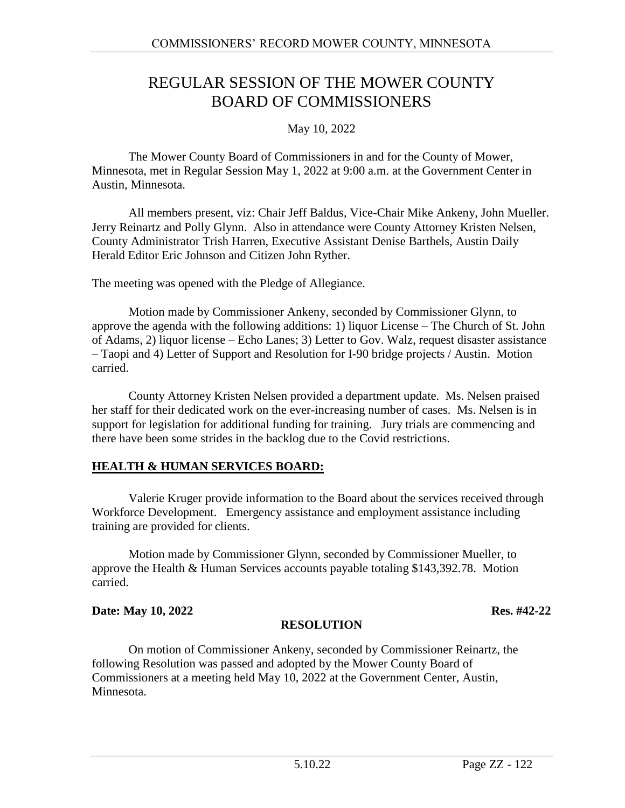# REGULAR SESSION OF THE MOWER COUNTY BOARD OF COMMISSIONERS

### May 10, 2022

The Mower County Board of Commissioners in and for the County of Mower, Minnesota, met in Regular Session May 1, 2022 at 9:00 a.m. at the Government Center in Austin, Minnesota.

All members present, viz: Chair Jeff Baldus, Vice-Chair Mike Ankeny, John Mueller. Jerry Reinartz and Polly Glynn. Also in attendance were County Attorney Kristen Nelsen, County Administrator Trish Harren, Executive Assistant Denise Barthels, Austin Daily Herald Editor Eric Johnson and Citizen John Ryther.

The meeting was opened with the Pledge of Allegiance.

Motion made by Commissioner Ankeny, seconded by Commissioner Glynn, to approve the agenda with the following additions: 1) liquor License – The Church of St. John of Adams, 2) liquor license – Echo Lanes; 3) Letter to Gov. Walz, request disaster assistance – Taopi and 4) Letter of Support and Resolution for I-90 bridge projects / Austin. Motion carried.

County Attorney Kristen Nelsen provided a department update. Ms. Nelsen praised her staff for their dedicated work on the ever-increasing number of cases. Ms. Nelsen is in support for legislation for additional funding for training. Jury trials are commencing and there have been some strides in the backlog due to the Covid restrictions.

### **HEALTH & HUMAN SERVICES BOARD:**

Valerie Kruger provide information to the Board about the services received through Workforce Development. Emergency assistance and employment assistance including training are provided for clients.

Motion made by Commissioner Glynn, seconded by Commissioner Mueller, to approve the Health & Human Services accounts payable totaling \$143,392.78. Motion carried.

### **Date: May 10, 2022 Res. #42-22**

### **RESOLUTION**

On motion of Commissioner Ankeny, seconded by Commissioner Reinartz, the following Resolution was passed and adopted by the Mower County Board of Commissioners at a meeting held May 10, 2022 at the Government Center, Austin, Minnesota.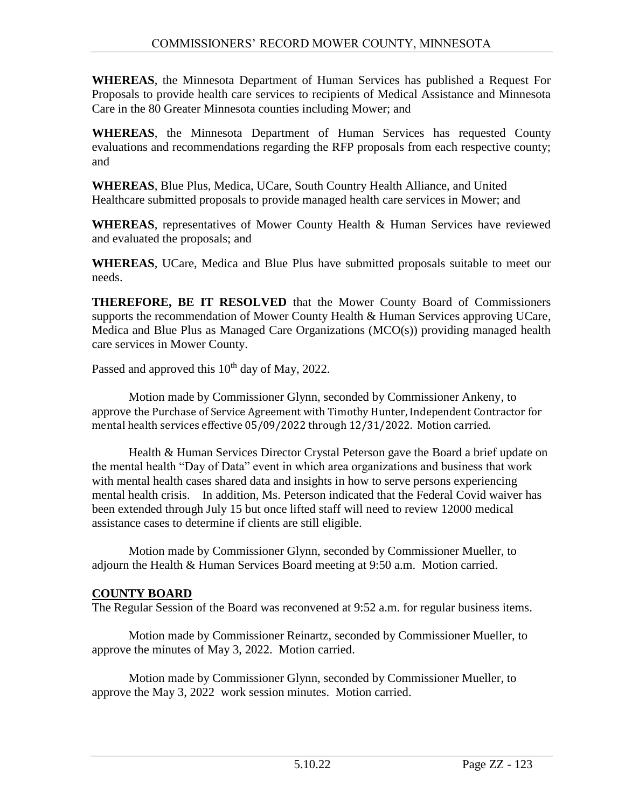**WHEREAS**, the Minnesota Department of Human Services has published a Request For Proposals to provide health care services to recipients of Medical Assistance and Minnesota Care in the 80 Greater Minnesota counties including Mower; and

**WHEREAS**, the Minnesota Department of Human Services has requested County evaluations and recommendations regarding the RFP proposals from each respective county; and

**WHEREAS**, Blue Plus, Medica, UCare, South Country Health Alliance, and United Healthcare submitted proposals to provide managed health care services in Mower; and

**WHEREAS**, representatives of Mower County Health & Human Services have reviewed and evaluated the proposals; and

**WHEREAS**, UCare, Medica and Blue Plus have submitted proposals suitable to meet our needs.

**THEREFORE, BE IT RESOLVED** that the Mower County Board of Commissioners supports the recommendation of Mower County Health & Human Services approving UCare, Medica and Blue Plus as Managed Care Organizations (MCO(s)) providing managed health care services in Mower County.

Passed and approved this  $10<sup>th</sup>$  day of May, 2022.

Motion made by Commissioner Glynn, seconded by Commissioner Ankeny, to approve the Purchase of Service Agreement with Timothy Hunter, Independent Contractor for mental health services effective 05/09/2022 through 12/31/2022. Motion carried.

Health & Human Services Director Crystal Peterson gave the Board a brief update on the mental health "Day of Data" event in which area organizations and business that work with mental health cases shared data and insights in how to serve persons experiencing mental health crisis. In addition, Ms. Peterson indicated that the Federal Covid waiver has been extended through July 15 but once lifted staff will need to review 12000 medical assistance cases to determine if clients are still eligible.

Motion made by Commissioner Glynn, seconded by Commissioner Mueller, to adjourn the Health & Human Services Board meeting at 9:50 a.m. Motion carried.

### **COUNTY BOARD**

The Regular Session of the Board was reconvened at 9:52 a.m. for regular business items.

Motion made by Commissioner Reinartz, seconded by Commissioner Mueller, to approve the minutes of May 3, 2022. Motion carried.

Motion made by Commissioner Glynn, seconded by Commissioner Mueller, to approve the May 3, 2022 work session minutes. Motion carried.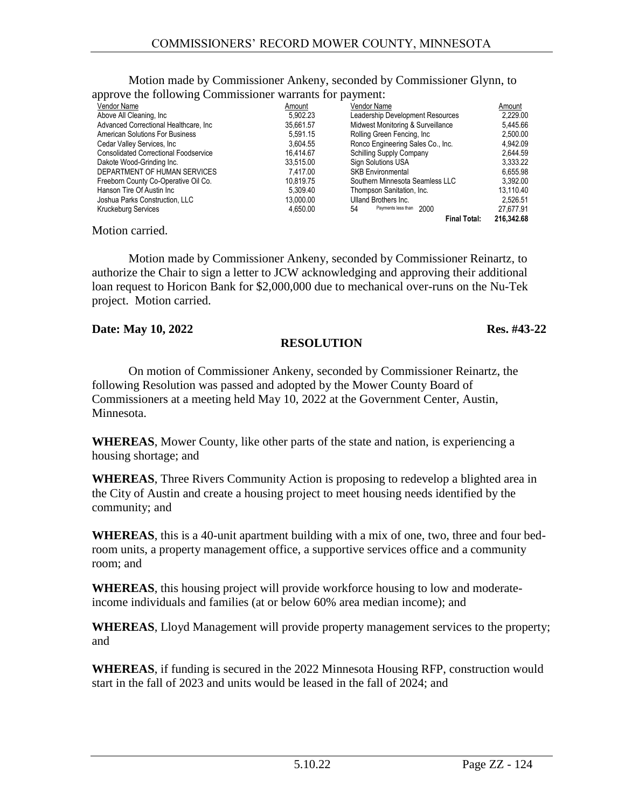Motion made by Commissioner Ankeny, seconded by Commissioner Glynn, to approve the following Commissioner warrants for payment:

| wppie is the following commissioner warrante for payments |           |                                   |            |
|-----------------------------------------------------------|-----------|-----------------------------------|------------|
| Vendor Name                                               | Amount    | Vendor Name                       | Amount     |
| Above All Cleaning, Inc.                                  | 5,902.23  | Leadership Development Resources  | 2,229.00   |
| Advanced Correctional Healthcare, Inc.                    | 35.661.57 | Midwest Monitoring & Surveillance | 5.445.66   |
| American Solutions For Business                           | 5.591.15  | Rolling Green Fencing, Inc.       | 2,500.00   |
| Cedar Valley Services, Inc.                               | 3.604.55  | Ronco Engineering Sales Co., Inc. | 4.942.09   |
| <b>Consolidated Correctional Foodservice</b>              | 16.414.67 | <b>Schilling Supply Company</b>   | 2,644.59   |
| Dakote Wood-Grinding Inc.                                 | 33.515.00 | <b>Sign Solutions USA</b>         | 3.333.22   |
| DEPARTMENT OF HUMAN SERVICES                              | 7.417.00  | <b>SKB Environmental</b>          | 6.655.98   |
| Freeborn County Co-Operative Oil Co.                      | 10.819.75 | Southern Minnesota Seamless LLC   | 3.392.00   |
| Hanson Tire Of Austin Inc                                 | 5.309.40  | Thompson Sanitation, Inc.         | 13,110.40  |
| Joshua Parks Construction, LLC                            | 13.000.00 | Ulland Brothers Inc.              | 2.526.51   |
| <b>Kruckeburg Services</b>                                | 4.650.00  | Payments less than 2000<br>54     | 27.677.91  |
|                                                           |           | <b>Final Total:</b>               | 216.342.68 |

Motion carried.

Motion made by Commissioner Ankeny, seconded by Commissioner Reinartz, to authorize the Chair to sign a letter to JCW acknowledging and approving their additional loan request to Horicon Bank for \$2,000,000 due to mechanical over-runs on the Nu-Tek project. Motion carried.

#### **Date: May 10, 2022 Res. #43-22**

#### **RESOLUTION**

On motion of Commissioner Ankeny, seconded by Commissioner Reinartz, the following Resolution was passed and adopted by the Mower County Board of Commissioners at a meeting held May 10, 2022 at the Government Center, Austin, Minnesota.

**WHEREAS**, Mower County, like other parts of the state and nation, is experiencing a housing shortage; and

**WHEREAS**, Three Rivers Community Action is proposing to redevelop a blighted area in the City of Austin and create a housing project to meet housing needs identified by the community; and

**WHEREAS**, this is a 40-unit apartment building with a mix of one, two, three and four bedroom units, a property management office, a supportive services office and a community room; and

**WHEREAS**, this housing project will provide workforce housing to low and moderateincome individuals and families (at or below 60% area median income); and

**WHEREAS**, Lloyd Management will provide property management services to the property; and

**WHEREAS**, if funding is secured in the 2022 Minnesota Housing RFP, construction would start in the fall of 2023 and units would be leased in the fall of 2024; and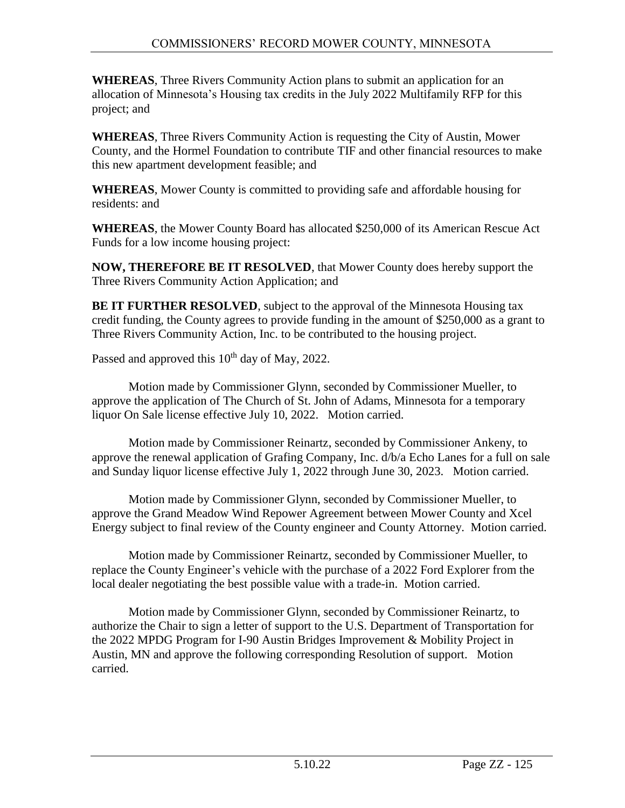**WHEREAS**, Three Rivers Community Action plans to submit an application for an allocation of Minnesota's Housing tax credits in the July 2022 Multifamily RFP for this project; and

**WHEREAS**, Three Rivers Community Action is requesting the City of Austin, Mower County, and the Hormel Foundation to contribute TIF and other financial resources to make this new apartment development feasible; and

**WHEREAS**, Mower County is committed to providing safe and affordable housing for residents: and

**WHEREAS**, the Mower County Board has allocated \$250,000 of its American Rescue Act Funds for a low income housing project:

**NOW, THEREFORE BE IT RESOLVED**, that Mower County does hereby support the Three Rivers Community Action Application; and

**BE IT FURTHER RESOLVED**, subject to the approval of the Minnesota Housing tax credit funding, the County agrees to provide funding in the amount of \$250,000 as a grant to Three Rivers Community Action, Inc. to be contributed to the housing project.

Passed and approved this  $10^{th}$  day of May, 2022.

Motion made by Commissioner Glynn, seconded by Commissioner Mueller, to approve the application of The Church of St. John of Adams, Minnesota for a temporary liquor On Sale license effective July 10, 2022. Motion carried.

Motion made by Commissioner Reinartz, seconded by Commissioner Ankeny, to approve the renewal application of Grafing Company, Inc. d/b/a Echo Lanes for a full on sale and Sunday liquor license effective July 1, 2022 through June 30, 2023. Motion carried.

Motion made by Commissioner Glynn, seconded by Commissioner Mueller, to approve the Grand Meadow Wind Repower Agreement between Mower County and Xcel Energy subject to final review of the County engineer and County Attorney. Motion carried.

Motion made by Commissioner Reinartz, seconded by Commissioner Mueller, to replace the County Engineer's vehicle with the purchase of a 2022 Ford Explorer from the local dealer negotiating the best possible value with a trade-in. Motion carried.

Motion made by Commissioner Glynn, seconded by Commissioner Reinartz, to authorize the Chair to sign a letter of support to the U.S. Department of Transportation for the 2022 MPDG Program for I-90 Austin Bridges Improvement & Mobility Project in Austin, MN and approve the following corresponding Resolution of support. Motion carried.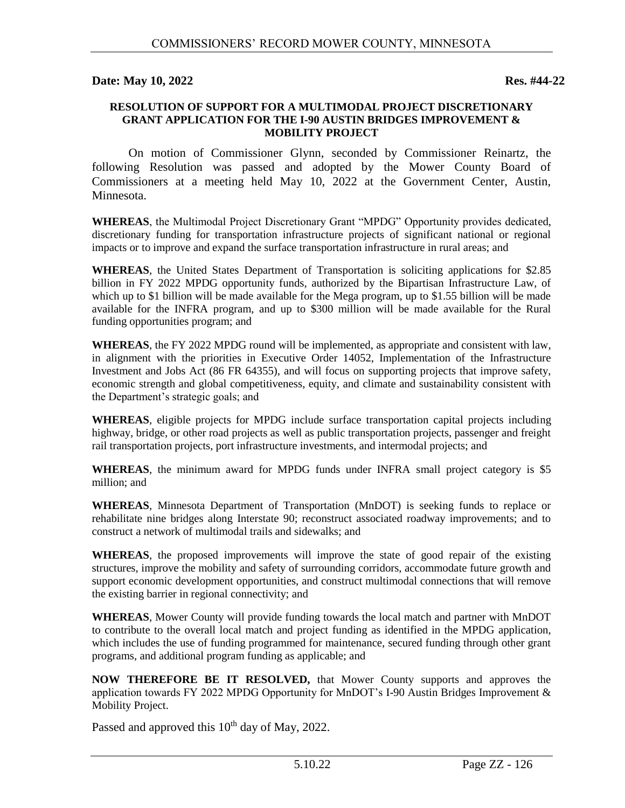#### **Date: May 10, 2022 Res. #44-22**

#### **RESOLUTION OF SUPPORT FOR A MULTIMODAL PROJECT DISCRETIONARY GRANT APPLICATION FOR THE I-90 AUSTIN BRIDGES IMPROVEMENT & MOBILITY PROJECT**

On motion of Commissioner Glynn, seconded by Commissioner Reinartz, the following Resolution was passed and adopted by the Mower County Board of Commissioners at a meeting held May 10, 2022 at the Government Center, Austin, Minnesota.

**WHEREAS**, the Multimodal Project Discretionary Grant "MPDG" Opportunity provides dedicated, discretionary funding for transportation infrastructure projects of significant national or regional impacts or to improve and expand the surface transportation infrastructure in rural areas; and

**WHEREAS**, the United States Department of Transportation is soliciting applications for \$2.85 billion in FY 2022 MPDG opportunity funds, authorized by the Bipartisan Infrastructure Law, of which up to \$1 billion will be made available for the Mega program, up to \$1.55 billion will be made available for the INFRA program, and up to \$300 million will be made available for the Rural funding opportunities program; and

**WHEREAS**, the FY 2022 MPDG round will be implemented, as appropriate and consistent with law, in alignment with the priorities in Executive Order 14052, Implementation of the Infrastructure Investment and Jobs Act (86 FR 64355), and will focus on supporting projects that improve safety, economic strength and global competitiveness, equity, and climate and sustainability consistent with the Department's strategic goals; and

**WHEREAS**, eligible projects for MPDG include surface transportation capital projects including highway, bridge, or other road projects as well as public transportation projects, passenger and freight rail transportation projects, port infrastructure investments, and intermodal projects; and

**WHEREAS**, the minimum award for MPDG funds under INFRA small project category is \$5 million; and

**WHEREAS**, Minnesota Department of Transportation (MnDOT) is seeking funds to replace or rehabilitate nine bridges along Interstate 90; reconstruct associated roadway improvements; and to construct a network of multimodal trails and sidewalks; and

**WHEREAS**, the proposed improvements will improve the state of good repair of the existing structures, improve the mobility and safety of surrounding corridors, accommodate future growth and support economic development opportunities, and construct multimodal connections that will remove the existing barrier in regional connectivity; and

**WHEREAS**, Mower County will provide funding towards the local match and partner with MnDOT to contribute to the overall local match and project funding as identified in the MPDG application, which includes the use of funding programmed for maintenance, secured funding through other grant programs, and additional program funding as applicable; and

**NOW THEREFORE BE IT RESOLVED,** that Mower County supports and approves the application towards FY 2022 MPDG Opportunity for MnDOT's I-90 Austin Bridges Improvement & Mobility Project.

Passed and approved this  $10^{th}$  day of May, 2022.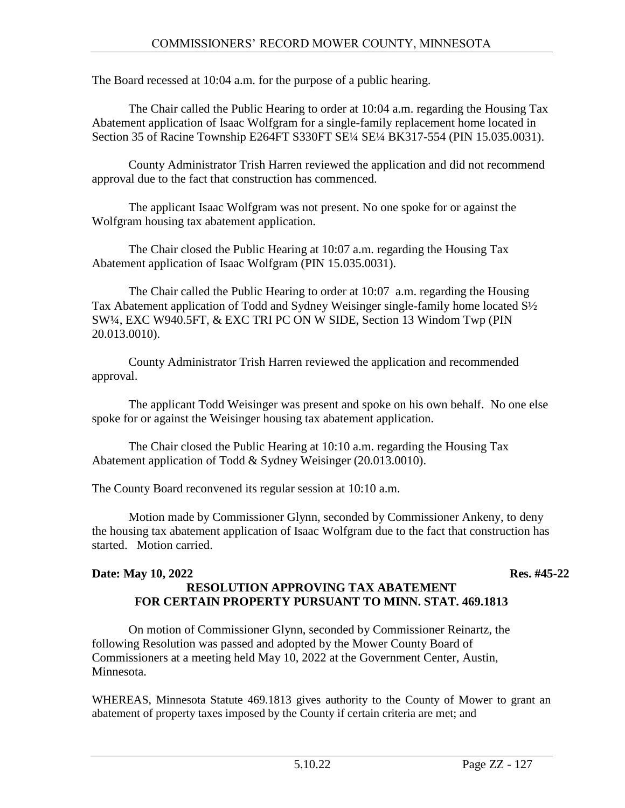The Board recessed at 10:04 a.m. for the purpose of a public hearing.

The Chair called the Public Hearing to order at 10:04 a.m. regarding the Housing Tax Abatement application of Isaac Wolfgram for a single-family replacement home located in Section 35 of Racine Township E264FT S330FT SE1/4 SE1/4 BK317-554 (PIN 15.035.0031).

County Administrator Trish Harren reviewed the application and did not recommend approval due to the fact that construction has commenced.

The applicant Isaac Wolfgram was not present. No one spoke for or against the Wolfgram housing tax abatement application.

The Chair closed the Public Hearing at 10:07 a.m. regarding the Housing Tax Abatement application of Isaac Wolfgram (PIN 15.035.0031).

The Chair called the Public Hearing to order at 10:07 a.m. regarding the Housing Tax Abatement application of Todd and Sydney Weisinger single-family home located S½ SW¼, EXC W940.5FT, & EXC TRI PC ON W SIDE, Section 13 Windom Twp (PIN 20.013.0010).

County Administrator Trish Harren reviewed the application and recommended approval.

The applicant Todd Weisinger was present and spoke on his own behalf. No one else spoke for or against the Weisinger housing tax abatement application.

The Chair closed the Public Hearing at 10:10 a.m. regarding the Housing Tax Abatement application of Todd & Sydney Weisinger (20.013.0010).

The County Board reconvened its regular session at 10:10 a.m.

Motion made by Commissioner Glynn, seconded by Commissioner Ankeny, to deny the housing tax abatement application of Isaac Wolfgram due to the fact that construction has started. Motion carried.

#### **Date: May 10, 2022 Res. #45-22 RESOLUTION APPROVING TAX ABATEMENT FOR CERTAIN PROPERTY PURSUANT TO MINN. STAT. 469.1813**

On motion of Commissioner Glynn, seconded by Commissioner Reinartz, the following Resolution was passed and adopted by the Mower County Board of Commissioners at a meeting held May 10, 2022 at the Government Center, Austin, Minnesota.

WHEREAS, Minnesota Statute 469.1813 gives authority to the County of Mower to grant an abatement of property taxes imposed by the County if certain criteria are met; and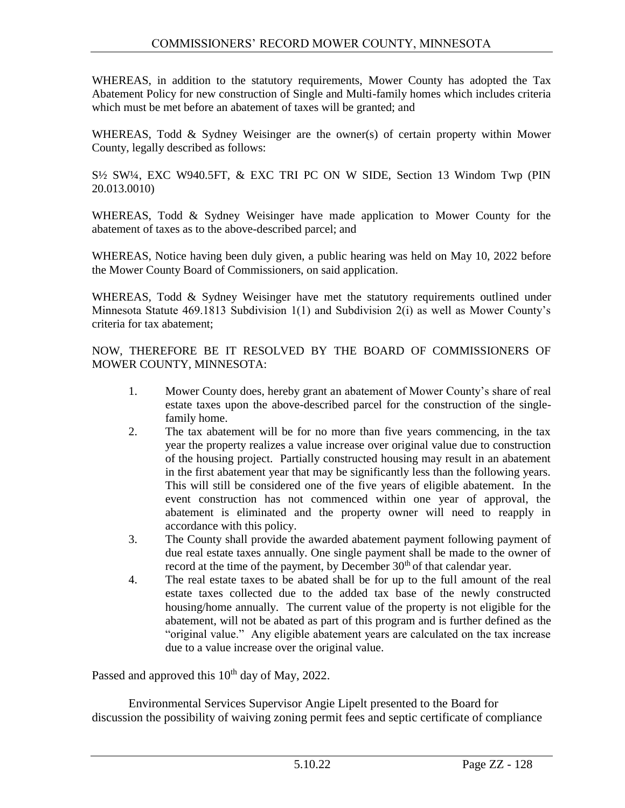WHEREAS, in addition to the statutory requirements, Mower County has adopted the Tax Abatement Policy for new construction of Single and Multi-family homes which includes criteria which must be met before an abatement of taxes will be granted; and

WHEREAS, Todd & Sydney Weisinger are the owner(s) of certain property within Mower County, legally described as follows:

S½ SW¼, EXC W940.5FT, & EXC TRI PC ON W SIDE, Section 13 Windom Twp (PIN 20.013.0010)

WHEREAS, Todd & Sydney Weisinger have made application to Mower County for the abatement of taxes as to the above-described parcel; and

WHEREAS, Notice having been duly given, a public hearing was held on May 10, 2022 before the Mower County Board of Commissioners, on said application.

WHEREAS, Todd & Sydney Weisinger have met the statutory requirements outlined under Minnesota Statute 469.1813 Subdivision 1(1) and Subdivision 2(i) as well as Mower County's criteria for tax abatement;

NOW, THEREFORE BE IT RESOLVED BY THE BOARD OF COMMISSIONERS OF MOWER COUNTY, MINNESOTA:

- 1. Mower County does, hereby grant an abatement of Mower County's share of real estate taxes upon the above-described parcel for the construction of the singlefamily home.
- 2. The tax abatement will be for no more than five years commencing, in the tax year the property realizes a value increase over original value due to construction of the housing project. Partially constructed housing may result in an abatement in the first abatement year that may be significantly less than the following years. This will still be considered one of the five years of eligible abatement. In the event construction has not commenced within one year of approval, the abatement is eliminated and the property owner will need to reapply in accordance with this policy.
- 3. The County shall provide the awarded abatement payment following payment of due real estate taxes annually. One single payment shall be made to the owner of record at the time of the payment, by December  $30<sup>th</sup>$  of that calendar year.
- 4. The real estate taxes to be abated shall be for up to the full amount of the real estate taxes collected due to the added tax base of the newly constructed housing/home annually. The current value of the property is not eligible for the abatement, will not be abated as part of this program and is further defined as the "original value." Any eligible abatement years are calculated on the tax increase due to a value increase over the original value.

Passed and approved this  $10^{th}$  day of May, 2022.

Environmental Services Supervisor Angie Lipelt presented to the Board for discussion the possibility of waiving zoning permit fees and septic certificate of compliance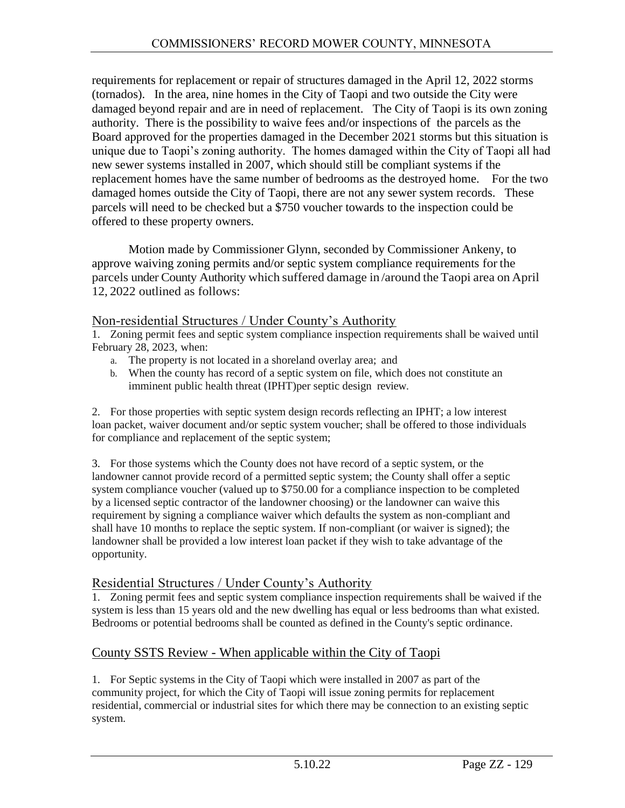requirements for replacement or repair of structures damaged in the April 12, 2022 storms (tornados). In the area, nine homes in the City of Taopi and two outside the City were damaged beyond repair and are in need of replacement. The City of Taopi is its own zoning authority. There is the possibility to waive fees and/or inspections of the parcels as the Board approved for the properties damaged in the December 2021 storms but this situation is unique due to Taopi's zoning authority. The homes damaged within the City of Taopi all had new sewer systems installed in 2007, which should still be compliant systems if the replacement homes have the same number of bedrooms as the destroyed home. For the two damaged homes outside the City of Taopi, there are not any sewer system records. These parcels will need to be checked but a \$750 voucher towards to the inspection could be offered to these property owners.

Motion made by Commissioner Glynn, seconded by Commissioner Ankeny, to approve waiving zoning permits and/or septic system compliance requirements for the parcels under County Authority which suffered damage in /around the Taopi area on April 12, 2022 outlined as follows:

### Non-residential Structures / Under County's Authority

1. Zoning permit fees and septic system compliance inspection requirements shall be waived until February 28, 2023, when:

- a. The property is not located in a shoreland overlay area; and
- b. When the county has record of a septic system on file, which does not constitute an imminent public health threat (IPHT)per septic design review.

2. For those properties with septic system design records reflecting an IPHT; a low interest loan packet, waiver document and/or septic system voucher; shall be offered to those individuals for compliance and replacement of the septic system;

3. For those systems which the County does not have record of a septic system, or the landowner cannot provide record of a permitted septic system; the County shall offer a septic system compliance voucher (valued up to \$750.00 for a compliance inspection to be completed by a licensed septic contractor of the landowner choosing) or the landowner can waive this requirement by signing a compliance waiver which defaults the system as non-compliant and shall have 10 months to replace the septic system. If non-compliant (or waiver is signed); the landowner shall be provided a low interest loan packet if they wish to take advantage of the opportunity.

### Residential Structures / Under County's Authority

1. Zoning permit fees and septic system compliance inspection requirements shall be waived if the system is less than 15 years old and the new dwelling has equal or less bedrooms than what existed. Bedrooms or potential bedrooms shall be counted as defined in the County's septic ordinance.

## County SSTS Review - When applicable within the City of Taopi

1. For Septic systems in the City of Taopi which were installed in 2007 as part of the community project, for which the City of Taopi will issue zoning permits for replacement residential, commercial or industrial sites for which there may be connection to an existing septic system.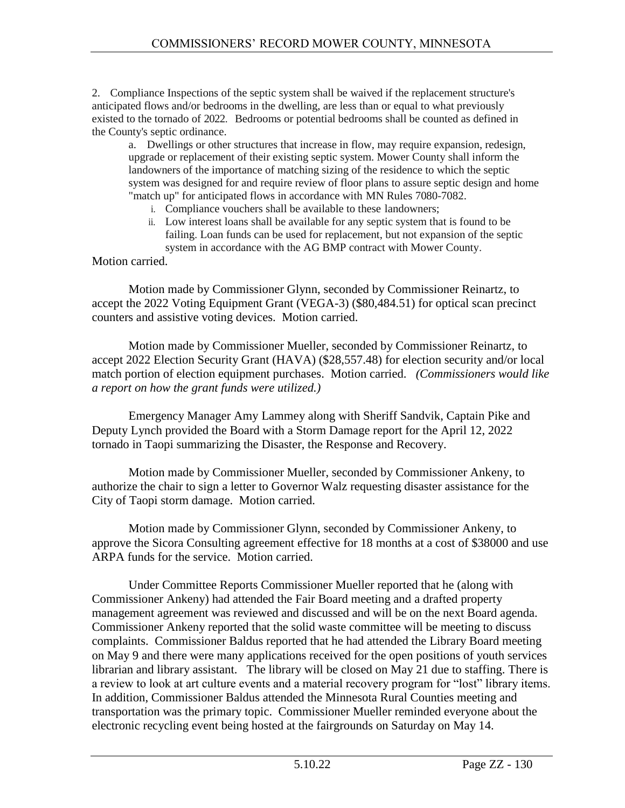2. Compliance Inspections of the septic system shall be waived if the replacement structure's anticipated flows and/or bedrooms in the dwelling, are less than or equal to what previously existed to the tornado of 2022. Bedrooms or potential bedrooms shall be counted as defined in the County's septic ordinance.

a. Dwellings or other structures that increase in flow, may require expansion, redesign, upgrade or replacement of their existing septic system. Mower County shall inform the landowners of the importance of matching sizing of the residence to which the septic system was designed for and require review of floor plans to assure septic design and home "match up" for anticipated flows in accordance with MN Rules 7080-7082.

- i. Compliance vouchers shall be available to these landowners;
- ii. Low interest loans shall be available for any septic system that is found to be failing. Loan funds can be used for replacement, but not expansion of the septic system in accordance with the AG BMP contract with Mower County.

### Motion carried.

Motion made by Commissioner Glynn, seconded by Commissioner Reinartz, to accept the 2022 Voting Equipment Grant (VEGA-3) (\$80,484.51) for optical scan precinct counters and assistive voting devices. Motion carried.

Motion made by Commissioner Mueller, seconded by Commissioner Reinartz, to accept 2022 Election Security Grant (HAVA) (\$28,557.48) for election security and/or local match portion of election equipment purchases. Motion carried. *(Commissioners would like a report on how the grant funds were utilized.)*

Emergency Manager Amy Lammey along with Sheriff Sandvik, Captain Pike and Deputy Lynch provided the Board with a Storm Damage report for the April 12, 2022 tornado in Taopi summarizing the Disaster, the Response and Recovery.

Motion made by Commissioner Mueller, seconded by Commissioner Ankeny, to authorize the chair to sign a letter to Governor Walz requesting disaster assistance for the City of Taopi storm damage. Motion carried.

Motion made by Commissioner Glynn, seconded by Commissioner Ankeny, to approve the Sicora Consulting agreement effective for 18 months at a cost of \$38000 and use ARPA funds for the service. Motion carried.

Under Committee Reports Commissioner Mueller reported that he (along with Commissioner Ankeny) had attended the Fair Board meeting and a drafted property management agreement was reviewed and discussed and will be on the next Board agenda. Commissioner Ankeny reported that the solid waste committee will be meeting to discuss complaints. Commissioner Baldus reported that he had attended the Library Board meeting on May 9 and there were many applications received for the open positions of youth services librarian and library assistant. The library will be closed on May 21 due to staffing. There is a review to look at art culture events and a material recovery program for "lost" library items. In addition, Commissioner Baldus attended the Minnesota Rural Counties meeting and transportation was the primary topic. Commissioner Mueller reminded everyone about the electronic recycling event being hosted at the fairgrounds on Saturday on May 14.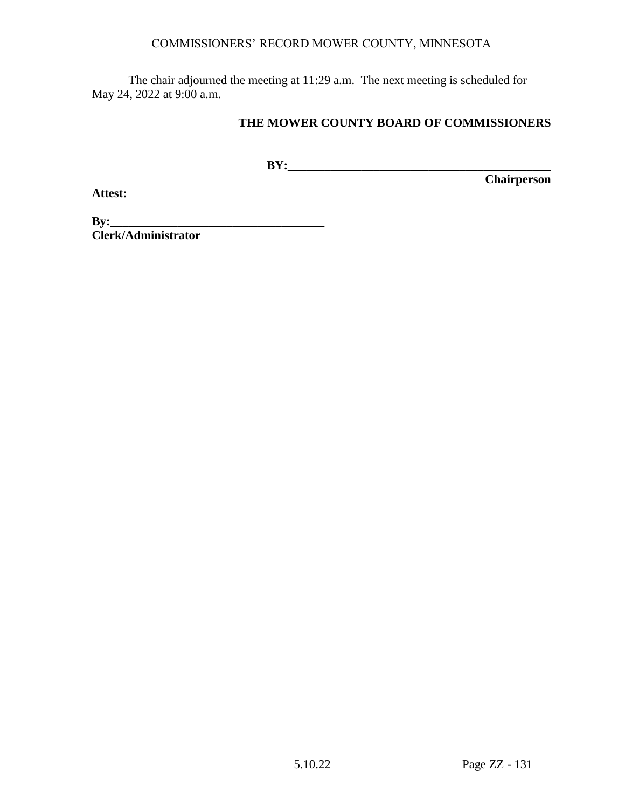The chair adjourned the meeting at 11:29 a.m. The next meeting is scheduled for May 24, 2022 at 9:00 a.m.

### **THE MOWER COUNTY BOARD OF COMMISSIONERS**

**BY:\_\_\_\_\_\_\_\_\_\_\_\_\_\_\_\_\_\_\_\_\_\_\_\_\_\_\_\_\_\_\_\_\_\_\_\_\_\_\_\_\_\_\_**

**Chairperson**

**Attest:**

**By:\_\_\_\_\_\_\_\_\_\_\_\_\_\_\_\_\_\_\_\_\_\_\_\_\_\_\_\_\_\_\_\_\_\_\_ Clerk/Administrator**